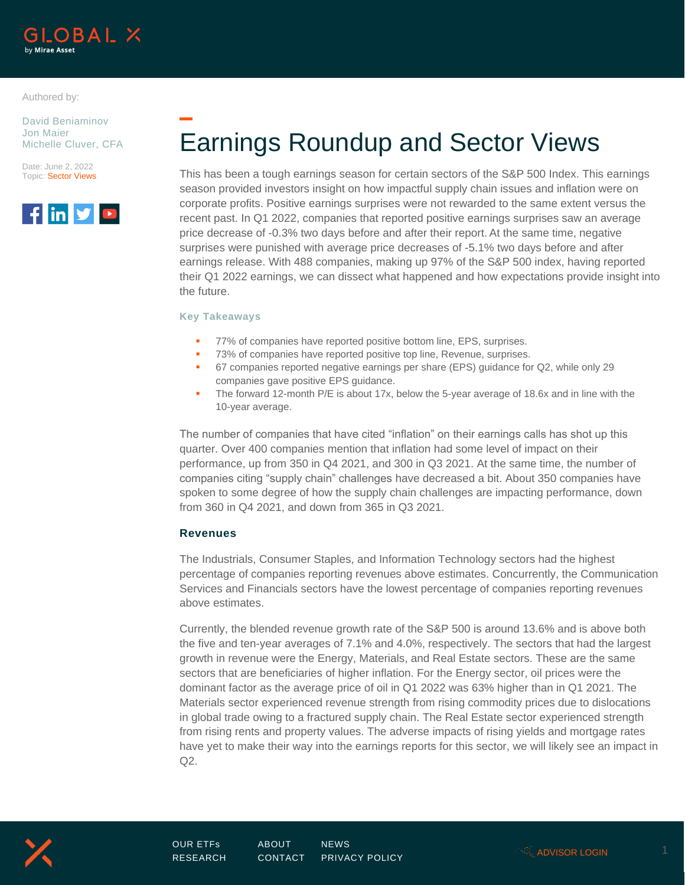

Authored by:

David Beniaminov Jon Maier Michelle Cluver, CFA

Date: June 2, 2022 Topic: Sector Views



Earnings Roundup and Sector Views

This has been a tough earnings season for certain sectors of the S&P 500 Index. This earnings season provided investors insight on how impactful supply chain issues and inflation were on corporate profits. Positive earnings surprises were not rewarded to the same extent versus the recent past. In Q1 2022, companies that reported positive earnings surprises saw an average price decrease of -0.3% two days before and after their report. At the same time, negative surprises were punished with average price decreases of -5.1% two days before and after earnings release. With 488 companies, making up 97% of the S&P 500 index, having reported their Q1 2022 earnings, we can dissect what happened and how expectations provide insight into the future.

#### **Key Takeaways**

- 77% of companies have reported positive bottom line, EPS, surprises.
- 73% of companies have reported positive top line, Revenue, surprises.
- 67 companies reported negative earnings per share (EPS) guidance for Q2, while only 29 companies gave positive EPS guidance.
- **•** The forward 12-month P/E is about 17x, below the 5-year average of 18.6x and in line with the 10-year average.

The number of companies that have cited "inflation" on their earnings calls has shot up this quarter. Over 400 companies mention that inflation had some level of impact on their performance, up from 350 in Q4 2021, and 300 in Q3 2021. At the same time, the number of companies citing "supply chain" challenges have decreased a bit. About 350 companies have spoken to some degree of how the supply chain challenges are impacting performance, down from 360 in Q4 2021, and down from 365 in Q3 2021.

## **Revenues**

The Industrials, Consumer Staples, and Information Technology sectors had the highest percentage of companies reporting revenues above estimates. Concurrently, the Communication Services and Financials sectors have the lowest percentage of companies reporting revenues above estimates.

Currently, the blended revenue growth rate of the S&P 500 is around 13.6% and is above both the five and ten-year averages of 7.1% and 4.0%, respectively. The sectors that had the largest growth in revenue were the Energy, Materials, and Real Estate sectors. These are the same sectors that are beneficiaries of higher inflation. For the Energy sector, oil prices were the dominant factor as the average price of oil in Q1 2022 was 63% higher than in Q1 2021. The Materials sector experienced revenue strength from rising commodity prices due to dislocations in global trade owing to a fractured supply chain. The Real Estate sector experienced strength from rising rents and property values. The adverse impacts of rising yields and mortgage rates have yet to make their way into the earnings reports for this sector, we will likely see an impact in Q2.

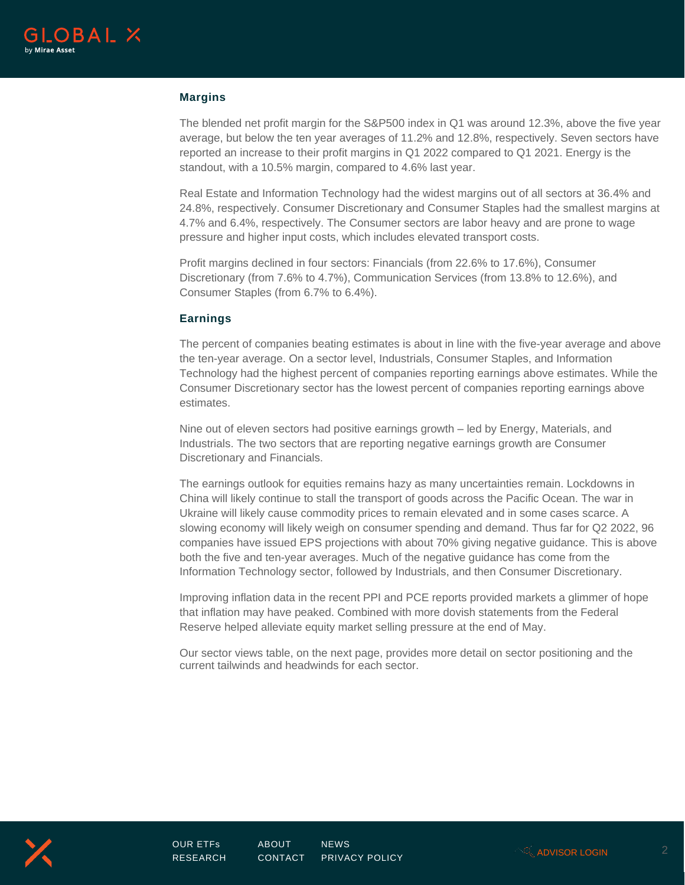

### **Margins**

The blended net profit margin for the S&P500 index in Q1 was around 12.3%, above the five year average, but below the ten year averages of 11.2% and 12.8%, respectively. Seven sectors have reported an increase to their profit margins in Q1 2022 compared to Q1 2021. Energy is the standout, with a 10.5% margin, compared to 4.6% last year.

Real Estate and Information Technology had the widest margins out of all sectors at 36.4% and 24.8%, respectively. Consumer Discretionary and Consumer Staples had the smallest margins at 4.7% and 6.4%, respectively. The Consumer sectors are labor heavy and are prone to wage pressure and higher input costs, which includes elevated transport costs.

Profit margins declined in four sectors: Financials (from 22.6% to 17.6%), Consumer Discretionary (from 7.6% to 4.7%), Communication Services (from 13.8% to 12.6%), and Consumer Staples (from 6.7% to 6.4%).

#### **Earnings**

The percent of companies beating estimates is about in line with the five-year average and above the ten-year average. On a sector level, Industrials, Consumer Staples, and Information Technology had the highest percent of companies reporting earnings above estimates. While the Consumer Discretionary sector has the lowest percent of companies reporting earnings above estimates.

Nine out of eleven sectors had positive earnings growth – led by Energy, Materials, and Industrials. The two sectors that are reporting negative earnings growth are Consumer Discretionary and Financials.

The earnings outlook for equities remains hazy as many uncertainties remain. Lockdowns in China will likely continue to stall the transport of goods across the Pacific Ocean. The war in Ukraine will likely cause commodity prices to remain elevated and in some cases scarce. A slowing economy will likely weigh on consumer spending and demand. Thus far for Q2 2022, 96 companies have issued EPS projections with about 70% giving negative guidance. This is above both the five and ten-year averages. Much of the negative guidance has come from the Information Technology sector, followed by Industrials, and then Consumer Discretionary.

Improving inflation data in the recent PPI and PCE reports provided markets a glimmer of hope that inflation may have peaked. Combined with more dovish statements from the Federal Reserve helped alleviate equity market selling pressure at the end of May.

Our sector views table, on the next page, provides more detail on sector positioning and the current tailwinds and headwinds for each sector.

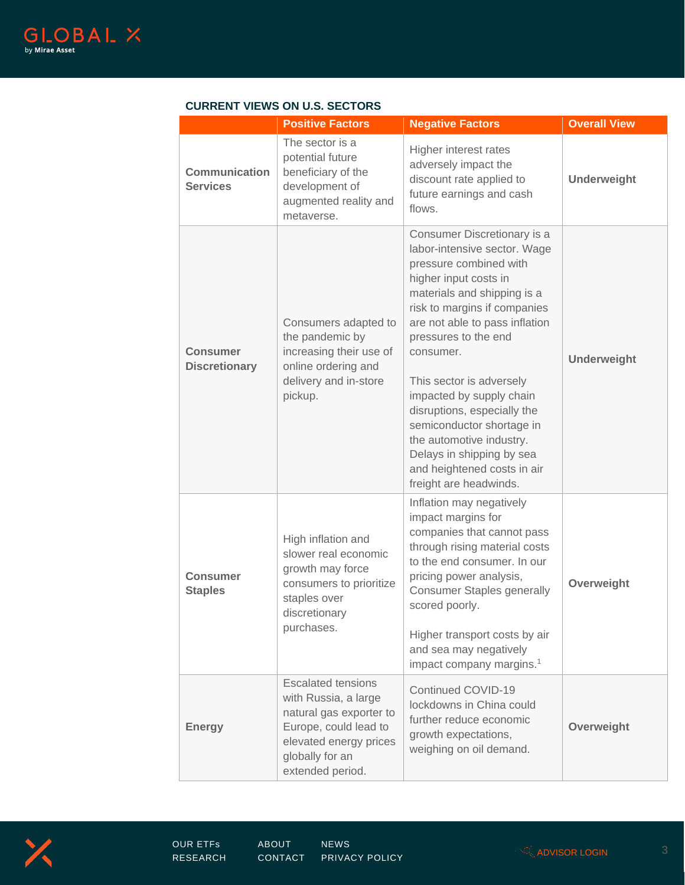

|                                         | <b>Positive Factors</b>                                                                                                                                                | <b>Negative Factors</b>                                                                                                                                                                                                                                                                                                                                                                                                                                                                    | <b>Overall View</b> |
|-----------------------------------------|------------------------------------------------------------------------------------------------------------------------------------------------------------------------|--------------------------------------------------------------------------------------------------------------------------------------------------------------------------------------------------------------------------------------------------------------------------------------------------------------------------------------------------------------------------------------------------------------------------------------------------------------------------------------------|---------------------|
| <b>Communication</b><br><b>Services</b> | The sector is a<br>potential future<br>beneficiary of the<br>development of<br>augmented reality and<br>metaverse.                                                     | Higher interest rates<br>adversely impact the<br>discount rate applied to<br>future earnings and cash<br>flows.                                                                                                                                                                                                                                                                                                                                                                            | <b>Underweight</b>  |
| <b>Consumer</b><br><b>Discretionary</b> | Consumers adapted to<br>the pandemic by<br>increasing their use of<br>online ordering and<br>delivery and in-store<br>pickup.                                          | Consumer Discretionary is a<br>labor-intensive sector. Wage<br>pressure combined with<br>higher input costs in<br>materials and shipping is a<br>risk to margins if companies<br>are not able to pass inflation<br>pressures to the end<br>consumer.<br>This sector is adversely<br>impacted by supply chain<br>disruptions, especially the<br>semiconductor shortage in<br>the automotive industry.<br>Delays in shipping by sea<br>and heightened costs in air<br>freight are headwinds. | <b>Underweight</b>  |
| <b>Consumer</b><br><b>Staples</b>       | High inflation and<br>slower real economic<br>growth may force<br>consumers to prioritize<br>staples over<br>discretionary<br>purchases.                               | Inflation may negatively<br>impact margins for<br>companies that cannot pass<br>through rising material costs<br>to the end consumer. In our<br>pricing power analysis,<br><b>Consumer Staples generally</b><br>scored poorly.<br>Higher transport costs by air<br>and sea may negatively<br>impact company margins. <sup>1</sup>                                                                                                                                                          | Overweight          |
| <b>Energy</b>                           | <b>Escalated tensions</b><br>with Russia, a large<br>natural gas exporter to<br>Europe, could lead to<br>elevated energy prices<br>globally for an<br>extended period. | Continued COVID-19<br>lockdowns in China could<br>further reduce economic<br>growth expectations,<br>weighing on oil demand.                                                                                                                                                                                                                                                                                                                                                               | Overweight          |

# **CURRENT VIEWS ON U.S. SECTORS**

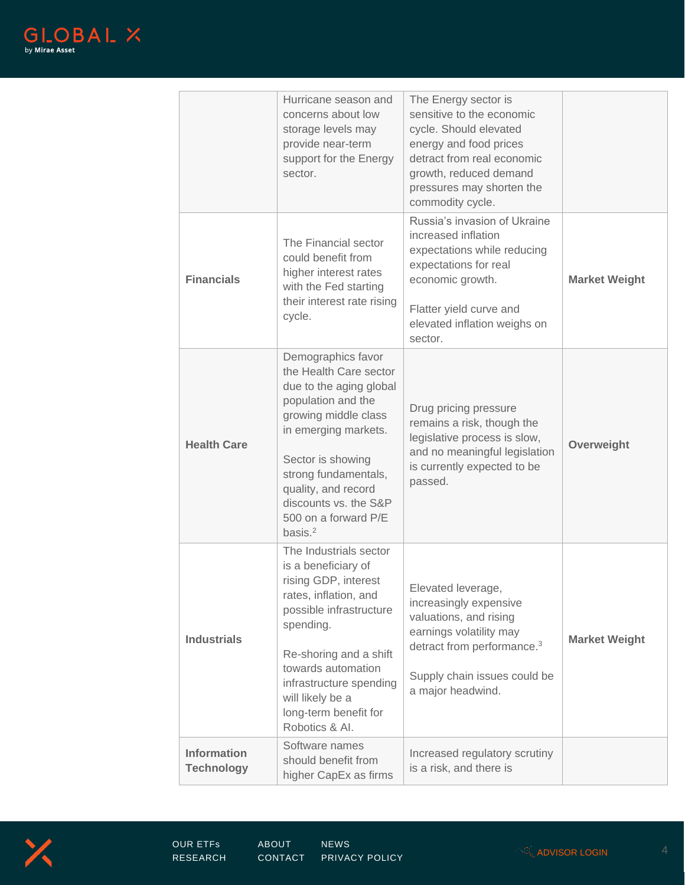

|                                         | Hurricane season and<br>concerns about low<br>storage levels may<br>provide near-term<br>support for the Energy<br>sector.                                                                                                                                                       | The Energy sector is<br>sensitive to the economic<br>cycle. Should elevated<br>energy and food prices<br>detract from real economic<br>growth, reduced demand<br>pressures may shorten the<br>commodity cycle. |                      |
|-----------------------------------------|----------------------------------------------------------------------------------------------------------------------------------------------------------------------------------------------------------------------------------------------------------------------------------|----------------------------------------------------------------------------------------------------------------------------------------------------------------------------------------------------------------|----------------------|
| <b>Financials</b>                       | The Financial sector<br>could benefit from<br>higher interest rates<br>with the Fed starting<br>their interest rate rising<br>cycle.                                                                                                                                             | Russia's invasion of Ukraine<br>increased inflation<br>expectations while reducing<br>expectations for real<br>economic growth.<br>Flatter yield curve and<br>elevated inflation weighs on<br>sector.          | <b>Market Weight</b> |
| <b>Health Care</b>                      | Demographics favor<br>the Health Care sector<br>due to the aging global<br>population and the<br>growing middle class<br>in emerging markets.<br>Sector is showing<br>strong fundamentals,<br>quality, and record<br>discounts vs. the S&P<br>500 on a forward P/E<br>basis. $2$ | Drug pricing pressure<br>remains a risk, though the<br>legislative process is slow,<br>and no meaningful legislation<br>is currently expected to be<br>passed.                                                 | Overweight           |
| <b>Industrials</b>                      | The Industrials sector<br>is a beneficiary of<br>rising GDP, interest<br>rates, inflation, and<br>possible infrastructure<br>spending.<br>Re-shoring and a shift<br>towards automation<br>infrastructure spending<br>will likely be a<br>long-term benefit for<br>Robotics & Al. | Elevated leverage,<br>increasingly expensive<br>valuations, and rising<br>earnings volatility may<br>detract from performance. <sup>3</sup><br>Supply chain issues could be<br>a major headwind.               | <b>Market Weight</b> |
| <b>Information</b><br><b>Technology</b> | Software names<br>should benefit from<br>higher CapEx as firms                                                                                                                                                                                                                   | Increased regulatory scrutiny<br>is a risk, and there is                                                                                                                                                       |                      |

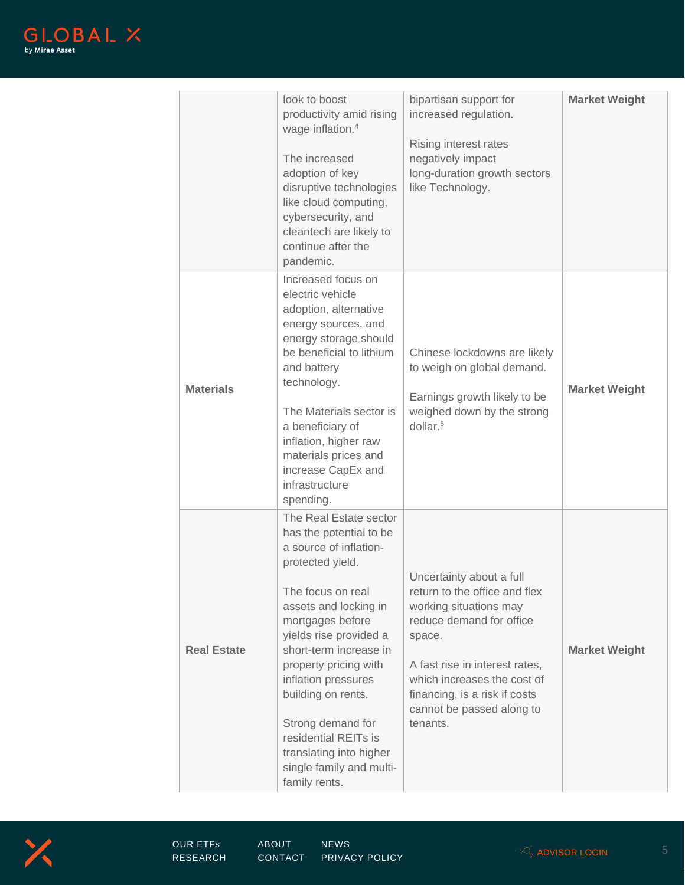

|                    | look to boost<br>productivity amid rising<br>wage inflation. <sup>4</sup><br>The increased<br>adoption of key<br>disruptive technologies<br>like cloud computing,<br>cybersecurity, and<br>cleantech are likely to<br>continue after the<br>pandemic.                                                                                                                                                            | bipartisan support for<br>increased regulation.<br>Rising interest rates<br>negatively impact<br>long-duration growth sectors<br>like Technology.                                                                                                                    | <b>Market Weight</b> |
|--------------------|------------------------------------------------------------------------------------------------------------------------------------------------------------------------------------------------------------------------------------------------------------------------------------------------------------------------------------------------------------------------------------------------------------------|----------------------------------------------------------------------------------------------------------------------------------------------------------------------------------------------------------------------------------------------------------------------|----------------------|
| <b>Materials</b>   | Increased focus on<br>electric vehicle<br>adoption, alternative<br>energy sources, and<br>energy storage should<br>be beneficial to lithium<br>and battery<br>technology.<br>The Materials sector is<br>a beneficiary of<br>inflation, higher raw<br>materials prices and<br>increase CapEx and<br>infrastructure<br>spending.                                                                                   | Chinese lockdowns are likely<br>to weigh on global demand.<br>Earnings growth likely to be<br>weighed down by the strong<br>$d$ ollar. <sup>5</sup>                                                                                                                  | <b>Market Weight</b> |
| <b>Real Estate</b> | The Real Estate sector<br>has the potential to be<br>a source of inflation-<br>protected yield.<br>The focus on real<br>assets and locking in<br>mortgages before<br>yields rise provided a<br>short-term increase in<br>property pricing with<br>inflation pressures<br>building on rents.<br>Strong demand for<br>residential REITs is<br>translating into higher<br>single family and multi-<br>family rents. | Uncertainty about a full<br>return to the office and flex<br>working situations may<br>reduce demand for office<br>space.<br>A fast rise in interest rates,<br>which increases the cost of<br>financing, is a risk if costs<br>cannot be passed along to<br>tenants. | <b>Market Weight</b> |